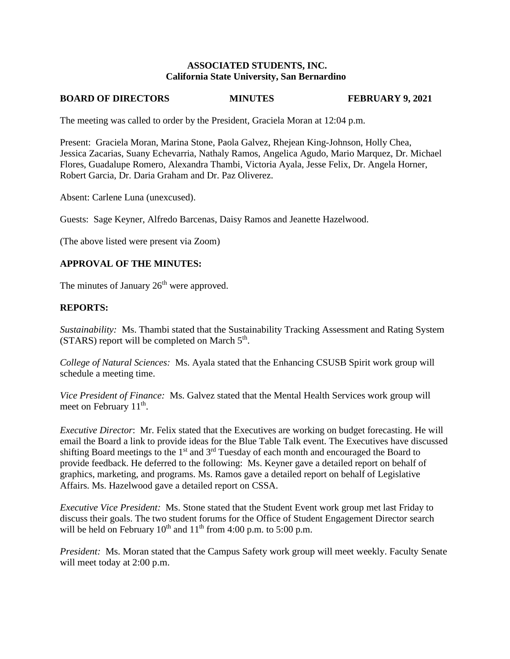# **ASSOCIATED STUDENTS, INC. California State University, San Bernardino**

### **BOARD OF DIRECTORS MINUTES FEBRUARY 9, 2021**

The meeting was called to order by the President, Graciela Moran at 12:04 p.m.

Present: Graciela Moran, Marina Stone, Paola Galvez, Rhejean King-Johnson, Holly Chea, Jessica Zacarias, Suany Echevarria, Nathaly Ramos, Angelica Agudo, Mario Marquez, Dr. Michael Flores, Guadalupe Romero, Alexandra Thambi, Victoria Ayala, Jesse Felix, Dr. Angela Horner, Robert Garcia, Dr. Daria Graham and Dr. Paz Oliverez.

Absent: Carlene Luna (unexcused).

Guests: Sage Keyner, Alfredo Barcenas, Daisy Ramos and Jeanette Hazelwood.

(The above listed were present via Zoom)

### **APPROVAL OF THE MINUTES:**

The minutes of January  $26<sup>th</sup>$  were approved.

### **REPORTS:**

*Sustainability:* Ms. Thambi stated that the Sustainability Tracking Assessment and Rating System  $(STARS)$  report will be completed on March  $5<sup>th</sup>$ .

*College of Natural Sciences:* Ms. Ayala stated that the Enhancing CSUSB Spirit work group will schedule a meeting time.

*Vice President of Finance:* Ms. Galvez stated that the Mental Health Services work group will meet on February 11<sup>th</sup>.

*Executive Director*: Mr. Felix stated that the Executives are working on budget forecasting. He will email the Board a link to provide ideas for the Blue Table Talk event. The Executives have discussed shifting Board meetings to the 1<sup>st</sup> and 3<sup>rd</sup> Tuesday of each month and encouraged the Board to provide feedback. He deferred to the following: Ms. Keyner gave a detailed report on behalf of graphics, marketing, and programs. Ms. Ramos gave a detailed report on behalf of Legislative Affairs. Ms. Hazelwood gave a detailed report on CSSA.

*Executive Vice President:* Ms. Stone stated that the Student Event work group met last Friday to discuss their goals. The two student forums for the Office of Student Engagement Director search will be held on February  $10^{th}$  and  $11^{th}$  from 4:00 p.m. to 5:00 p.m.

*President:* Ms. Moran stated that the Campus Safety work group will meet weekly. Faculty Senate will meet today at 2:00 p.m.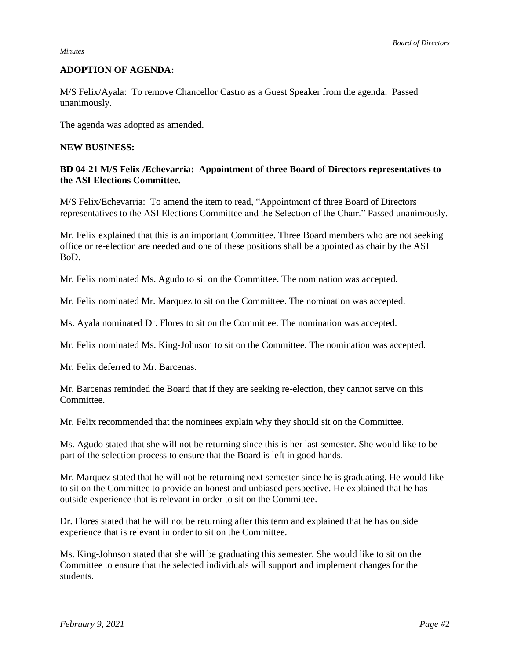#### *Minutes*

## **ADOPTION OF AGENDA:**

M/S Felix/Ayala: To remove Chancellor Castro as a Guest Speaker from the agenda. Passed unanimously.

The agenda was adopted as amended.

#### **NEW BUSINESS:**

# **BD 04-21 M/S Felix /Echevarria: Appointment of three Board of Directors representatives to the ASI Elections Committee.**

M/S Felix/Echevarria: To amend the item to read, "Appointment of three Board of Directors representatives to the ASI Elections Committee and the Selection of the Chair." Passed unanimously.

Mr. Felix explained that this is an important Committee. Three Board members who are not seeking office or re-election are needed and one of these positions shall be appointed as chair by the ASI BoD.

Mr. Felix nominated Ms. Agudo to sit on the Committee. The nomination was accepted.

Mr. Felix nominated Mr. Marquez to sit on the Committee. The nomination was accepted.

Ms. Ayala nominated Dr. Flores to sit on the Committee. The nomination was accepted.

Mr. Felix nominated Ms. King-Johnson to sit on the Committee. The nomination was accepted.

Mr. Felix deferred to Mr. Barcenas.

Mr. Barcenas reminded the Board that if they are seeking re-election, they cannot serve on this Committee.

Mr. Felix recommended that the nominees explain why they should sit on the Committee.

Ms. Agudo stated that she will not be returning since this is her last semester. She would like to be part of the selection process to ensure that the Board is left in good hands.

Mr. Marquez stated that he will not be returning next semester since he is graduating. He would like to sit on the Committee to provide an honest and unbiased perspective. He explained that he has outside experience that is relevant in order to sit on the Committee.

Dr. Flores stated that he will not be returning after this term and explained that he has outside experience that is relevant in order to sit on the Committee.

Ms. King-Johnson stated that she will be graduating this semester. She would like to sit on the Committee to ensure that the selected individuals will support and implement changes for the students.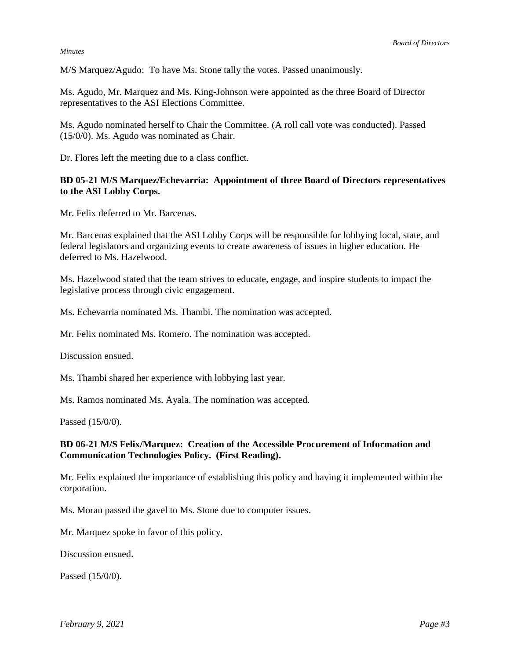#### *Minutes*

M/S Marquez/Agudo: To have Ms. Stone tally the votes. Passed unanimously.

Ms. Agudo, Mr. Marquez and Ms. King-Johnson were appointed as the three Board of Director representatives to the ASI Elections Committee.

Ms. Agudo nominated herself to Chair the Committee. (A roll call vote was conducted). Passed (15/0/0). Ms. Agudo was nominated as Chair.

Dr. Flores left the meeting due to a class conflict.

# **BD 05-21 M/S Marquez/Echevarria: Appointment of three Board of Directors representatives to the ASI Lobby Corps.**

Mr. Felix deferred to Mr. Barcenas.

Mr. Barcenas explained that the ASI Lobby Corps will be responsible for lobbying local, state, and federal legislators and organizing events to create awareness of issues in higher education. He deferred to Ms. Hazelwood.

Ms. Hazelwood stated that the team strives to educate, engage, and inspire students to impact the legislative process through civic engagement.

Ms. Echevarria nominated Ms. Thambi. The nomination was accepted.

Mr. Felix nominated Ms. Romero. The nomination was accepted.

Discussion ensued.

Ms. Thambi shared her experience with lobbying last year.

Ms. Ramos nominated Ms. Ayala. The nomination was accepted.

Passed (15/0/0).

# **BD 06-21 M/S Felix/Marquez: Creation of the Accessible Procurement of Information and Communication Technologies Policy. (First Reading).**

Mr. Felix explained the importance of establishing this policy and having it implemented within the corporation.

Ms. Moran passed the gavel to Ms. Stone due to computer issues.

Mr. Marquez spoke in favor of this policy.

Discussion ensued.

Passed (15/0/0).